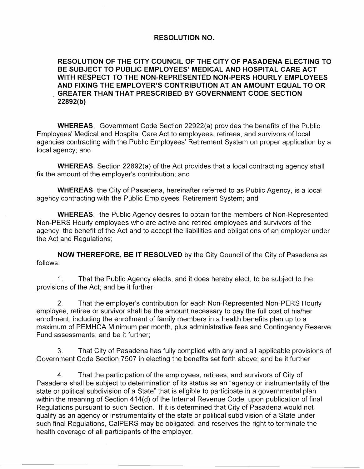## **RESOLUTION NO.**

## **RESOLUTION OF THE CITY COUNCIL OF THE CITY OF PASADENA ELECTING TO BE SUBJECT TO PUBLIC EMPLOYEES' MEDICAL AND HOSPITAL CARE ACT WITH RESPECT TO THE NON-REPRESENTED NON-PERS HOURLY EMPLOYEES AND FIXING THE EMPLOYER'S CONTRIBUTION AT AN AMOUNT EQUAL TO OR**  . **GREATER THAN THAT PRESCRIBED BY GOVERNMENT CODE SECTION 22892(b)**

**WHEREAS,** Government Code Section 22922(a) provides the benefits of the Public Employees' Medical and Hospital Care Act to employees, retirees, and survivors of local agencies contracting with the Public Employees' Retirement System on proper application by a local agency; and

**WHEREAS,** Section 22892(a) of the Act provides that a local contracting agency shall fix the amount of the employer's contribution; and

**WHEREAS,** the City of Pasadena, hereinafter referred to as Public Agency, is a local agency contracting with the Public Employees' Retirement System; and

**WHEREAS,** the Public Agency desires to obtain for the members of Non-Represented Non-PERS Hourly employees who are active and retired employees and survivors of the agency, the benefit of the Act and to accept the liabilities and obligations of an employer under the Act and Regulations;

**NOW THEREFORE, BE IT RESOLVED** by the City Council of the City of Pasadena as follows:

1. That the Public Agency elects, and it does hereby elect, to be subject to the provisions of the Act; and be it further

2. That the employer's contribution for each Non-Represented Non-PERS Hourly employee, retiree or survivor shall be the amount necessary to pay the full cost of his/her enrollment, including the enrollment of family members in a health benefits plan up to a maximum of PEMHCA Minimum per month, plus administrative fees and Contingency Reserve Fund assessments; and be it further;

3. That City of Pasadena has fully complied with any and all applicable provisions of Government Code Section 7507 in electing the benefits set forth above; and be it further

4. That the participation of the employees, retirees, and survivors of City of Pasadena shall be subject to determination of its status as an "agency or instrumentality of the state or political subdivision of a State" that is eligible to participate in a governmental plan within the meaning of Section 414(d) of the Internal Revenue Code, upon publication of final Regulations pursuant to such Section. If it is determined that City of Pasadena would not qualify as an agency or instrumentality of the state or political subdivision of a State under such final Regulations, CaiPERS may be obligated, and reserves the right to terminate the health coverage of all participants of the employer.